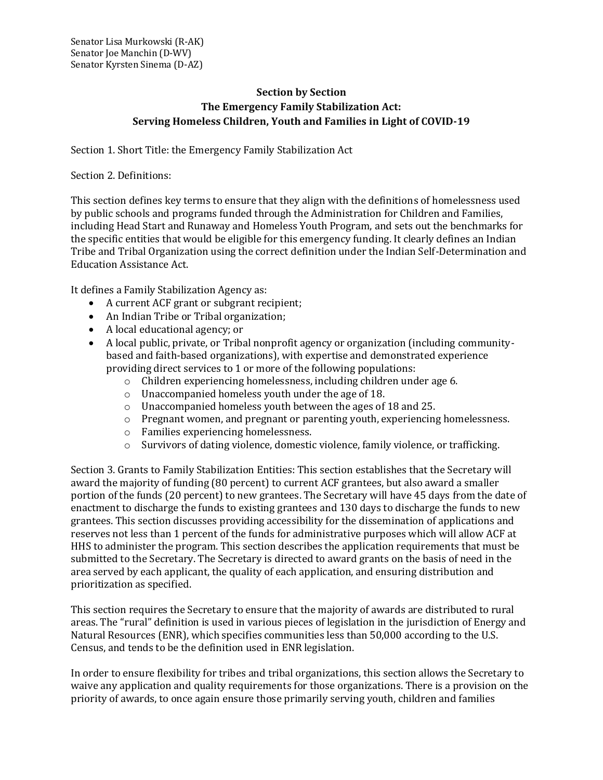## **Section by Section The Emergency Family Stabilization Act: Serving Homeless Children, Youth and Families in Light of COVID-19**

Section 1. Short Title: the Emergency Family Stabilization Act

Section 2. Definitions:

This section defines key terms to ensure that they align with the definitions of homelessness used by public schools and programs funded through the Administration for Children and Families, including Head Start and Runaway and Homeless Youth Program, and sets out the benchmarks for the specific entities that would be eligible for this emergency funding. It clearly defines an Indian Tribe and Tribal Organization using the correct definition under the Indian Self-Determination and Education Assistance Act.

It defines a Family Stabilization Agency as:

- A current ACF grant or subgrant recipient;
- An Indian Tribe or Tribal organization;
- A local educational agency; or
- A local public, private, or Tribal nonprofit agency or organization (including communitybased and faith-based organizations), with expertise and demonstrated experience providing direct services to 1 or more of the following populations:
	- o Children experiencing homelessness, including children under age 6.
	- o Unaccompanied homeless youth under the age of 18.
	- o Unaccompanied homeless youth between the ages of 18 and 25.
	- $\circ$  Pregnant women, and pregnant or parenting youth, experiencing homelessness.
	- o Families experiencing homelessness.
	- o Survivors of dating violence, domestic violence, family violence, or trafficking.

Section 3. Grants to Family Stabilization Entities: This section establishes that the Secretary will award the majority of funding (80 percent) to current ACF grantees, but also award a smaller portion of the funds (20 percent) to new grantees. The Secretary will have 45 days from the date of enactment to discharge the funds to existing grantees and 130 days to discharge the funds to new grantees. This section discusses providing accessibility for the dissemination of applications and reserves not less than 1 percent of the funds for administrative purposes which will allow ACF at HHS to administer the program. This section describes the application requirements that must be submitted to the Secretary. The Secretary is directed to award grants on the basis of need in the area served by each applicant, the quality of each application, and ensuring distribution and prioritization as specified.

This section requires the Secretary to ensure that the majority of awards are distributed to rural areas. The "rural" definition is used in various pieces of legislation in the jurisdiction of Energy and Natural Resources (ENR), which specifies communities less than 50,000 according to the U.S. Census, and tends to be the definition used in ENR legislation.

In order to ensure flexibility for tribes and tribal organizations, this section allows the Secretary to waive any application and quality requirements for those organizations. There is a provision on the priority of awards, to once again ensure those primarily serving youth, children and families